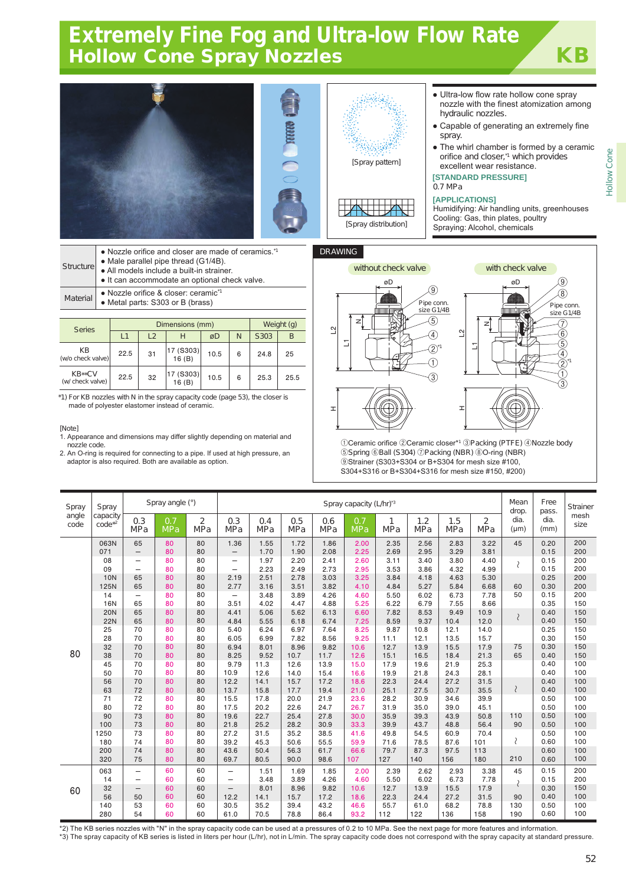# Extremely Fine Fog and Ultra-low Flow Rate Hollow Cone Spray Nozzles **KB**



| Structure | • Nozzle orifice and closer are made of ceramics. <sup>11</sup><br>• Male parallel pipe thread (G1/4B).<br>• All models include a built-in strainer.<br>• It can accommodate an optional check valve. |
|-----------|-------------------------------------------------------------------------------------------------------------------------------------------------------------------------------------------------------|
| Material  | • Nozzle orifice & closer: ceramic <sup>*1</sup><br>• Metal parts: S303 or B (brass)                                                                                                                  |

| <b>Series</b>              |      | Dimensions (mm) | Weight (g)         |      |   |      |      |
|----------------------------|------|-----------------|--------------------|------|---|------|------|
|                            | L1   | $\sqrt{2}$      | н                  | øD   | N | S303 | B    |
| KВ<br>(w/o check valve)    | 22.5 | 31              | 17 (S303)<br>16(B) | 10.5 | 6 | 24.8 | 25   |
| KB**CV<br>(w/ check valve) | 22.5 | 32              | 17 (S303)<br>16(B) | 10.5 | 6 | 25.3 | 25.5 |

\*1) For KB nozzles with N in the spray capacity code (page 53), the closer is made of polyester elastomer instead of ceramic.

#### [Note]

- 1. Appearance and dimensions may differ slightly depending on material and nozzle code.
- 2. An O-ring is required for connecting to a pipe. If used at high pressure, an adaptor is also required. Both are available as option.



z

L1

 $\tilde{C}$ 

ᆂ



Ceramic orifice ②Ceramic closer\*<sup>1</sup> ③Packing (PTFE) ④Nozzle body Spring ⑥Ball (S304) ⑦Packing (NBR) ⑧O-ring (NBR) Strainer (S303+S304 or B+S304 for mesh size #100, S304+S316 or B+S304+S316 for mesh size #150, #200)

| Spray         | Spray                 | Spray angle (°)          |                   |                              | Spray capacity (L/hr)'3  |                   |                   |                   |                   |                 |                   | Mean<br>drop.     | Free<br>pass.                | Strainer          |              |              |
|---------------|-----------------------|--------------------------|-------------------|------------------------------|--------------------------|-------------------|-------------------|-------------------|-------------------|-----------------|-------------------|-------------------|------------------------------|-------------------|--------------|--------------|
| angle<br>code | capacity<br>$code*2}$ | 0.3<br><b>MPa</b>        | 0.7<br><b>MPa</b> | $\overline{2}$<br><b>MPa</b> | 0.3<br><b>MPa</b>        | 0.4<br><b>MPa</b> | 0.5<br><b>MPa</b> | 0.6<br><b>MPa</b> | 0.7<br><b>MPa</b> | 1<br><b>MPa</b> | 1.2<br><b>MPa</b> | 1.5<br><b>MPa</b> | $\overline{2}$<br><b>MPa</b> | dia.<br>$(\mu m)$ | dia.<br>(mm) | mesh<br>size |
|               | 063N                  | 65                       | 80                | 80                           | 1.36                     | 1.55              | 1.72              | 1.86              | 2.00              | 2.35            | 2.56              | 2.83              | 3.22                         | 45                | 0.20         | 200          |
|               | 071                   | $\qquad \qquad -$        | 80                | 80                           | $\qquad \qquad -$        | 1.70              | 1.90              | 2.08              | 2.25              | 2.69            | 2.95              | 3.29              | 3.81                         |                   | 0.15         | 200          |
|               | 08                    | $\overline{\phantom{0}}$ | 80                | 80                           | -                        | 1.97              | 2.20              | 2.41              | 2.60              | 3.11            | 3.40              | 3.80              | 4.40                         | $\langle$         | 0.15         | 200          |
|               | 09                    | $\overline{\phantom{0}}$ | 80                | 80                           | -                        | 2.23              | 2.49              | 2.73              | 2.95              | 3.53            | 3.86              | 4.32              | 4.99                         |                   | 0.15         | 200          |
|               | <b>10N</b>            | 65                       | 80                | 80                           | 2.19                     | 2.51              | 2.78              | 3.03              | 3.25              | 3.84            | 4.18              | 4.63              | 5.30                         |                   | 0.25         | 200          |
|               | 125N                  | 65                       | 80                | 80                           | 2.77                     | 3.16              | 3.51              | 3.82              | 4.10              | 4.84            | 5.27              | 5.84              | 6.68                         | 60                | 0.30         | 200          |
|               | 14                    | $\overline{\phantom{0}}$ | 80                | 80                           | -                        | 3.48              | 3.89              | 4.26              | 4.60              | 5.50            | 6.02              | 6.73              | 7.78                         | 50                | 0.15         | 200          |
|               | <b>16N</b>            | 65                       | 80                | 80                           | 3.51                     | 4.02              | 4.47              | 4.88              | 5.25              | 6.22            | 6.79              | 7.55              | 8.66                         |                   | 0.35         | 150          |
|               | <b>20N</b>            | 65                       | 80                | 80                           | 4.41                     | 5.06              | 5.62              | 6.13              | 6.60              | 7.82            | 8.53              | 9.49              | 10.9                         |                   | 0.40         | 150          |
|               | <b>22N</b>            | 65                       | 80                | 80                           | 4.84                     | 5.55              | 6.18              | 6.74              | 7.25              | 8.59            | 9.37              | 10.4              | 12.0                         | $\langle$         | 0.40         | 150          |
|               | 25                    | 70                       | 80                | 80                           | 5.40                     | 6.24              | 6.97              | 7.64              | 8.25              | 9.87            | 10.8              | 12.1              | 14.0                         |                   | 0.25         | 150          |
|               | 28                    | 70                       | 80                | 80                           | 6.05                     | 6.99              | 7.82              | 8.56              | 9.25              | 11.1            | 12.1              | 13.5              | 15.7                         |                   | 0.30         | 150          |
|               | 32                    | 70                       | 80                | 80                           | 6.94                     | 8.01              | 8.96              | 9.82              | 10.6              | 12.7            | 13.9              | 15.5              | 17.9                         | 75                | 0.30         | 150          |
| 80            | 38                    | 70                       | 80                | 80                           | 8.25                     | 9.52              | 10.7              | 11.7              | 12.6              | 15.1            | 16.5              | 18.4              | 21.3                         | 65                | 0.40         | 150          |
|               | 45                    | 70                       | 80                | 80                           | 9.79                     | 11.3              | 12.6              | 13.9              | 15.0              | 17.9            | 19.6              | 21.9              | 25.3                         |                   | 0.40         | 100          |
|               | 50                    | 70                       | 80                | 80                           | 10.9                     | 12.6              | 14.0              | 15.4              | 16.6              | 19.9            | 21.8              | 24.3              | 28.1                         |                   | 0.40         | 100          |
|               | 56                    | 70                       | 80                | 80                           | 12.2                     | 14.1              | 15.7              | 17.2              | 18.6              | 22.3            | 24.4              | 27.2              | 31.5                         |                   | 0.40         | 100          |
|               | 63                    | 72                       | 80                | 80                           | 13.7                     | 15.8              | 17.7              | 19.4              | 21.0              | 25.1            | 27.5              | 30.7              | 35.5                         | $\mathcal{E}$     | 0.40         | 100          |
|               | 71                    | 72                       | 80                | 80                           | 15.5                     | 17.8              | 20.0              | 21.9              | 23.6              | 28.2            | 30.9              | 34.6              | 39.9                         |                   | 0.50         | 100          |
|               | 80                    | 72                       | 80                | 80                           | 17.5                     | 20.2              | 22.6              | 24.7              | 26.7              | 31.9            | 35.0              | 39.0              | 45.1                         |                   | 0.50         | 100          |
|               | 90                    | 73                       | 80                | 80                           | 19.6                     | 22.7              | 25.4              | 27.8              | 30.0              | 35.9            | 39.3              | 43.9              | 50.8                         | 110               | 0.50         | 100          |
|               | 100                   | 73                       | 80                | 80                           | 21.8                     | 25.2              | 28.2              | 30.9              | 33.3              | 39.9            | 43.7              | 48.8              | 56.4                         | 90                | 0.50         | 100          |
|               | 1250                  | 73                       | 80                | 80                           | 27.2                     | 31.5              | 35.2              | 38.5              | 41.6              | 49.8            | 54.5              | 60.9              | 70.4                         |                   | 0.50         | 100          |
|               | 180                   | 74                       | 80                | 80                           | 39.2                     | 45.3              | 50.6              | 55.5              | 59.9              | 71.6            | 78.5              | 87.6              | 101                          | ₹                 | 0.60         | 100          |
|               | 200                   | 74                       | 80                | 80                           | 43.6                     | 50.4              | 56.3              | 61.7              | 66.6              | 79.7            | 87.3              | 97.5              | 113                          |                   | 0.60         | 100          |
|               | 320                   | 75                       | 80                | 80                           | 69.7                     | 80.5              | 90.0              | 98.6              | 107               | 127             | 140               | 156               | 180                          | 210               | 0.60         | 100          |
|               | 063                   | $\overline{\phantom{0}}$ | 60                | 60                           | $\overline{\phantom{0}}$ | 1.51              | 1.69              | 1.85              | 2.00              | 2.39            | 2.62              | 2.93              | 3.38                         | 45                | 0.15         | 200          |
| 60            | 14                    | $\overline{\phantom{0}}$ | 60                | 60                           | $\overline{\phantom{0}}$ | 3.48              | 3.89              | 4.26              | 4.60              | 5.50            | 6.02              | 6.73              | 7.78                         |                   | 0.15         | 200          |
|               | 32                    | $\overline{\phantom{0}}$ | 60                | 60                           | $\qquad \qquad -$        | 8.01              | 8.96              | 9.82              | 10.6              | 12.7            | 13.9              | 15.5              | 17.9                         |                   | 0.30         | 150          |
|               | 56                    | 50                       | 60                | 60                           | 12.2                     | 14.1              | 15.7              | 17.2              | 18.6              | 22.3            | 24.4              | 27.2              | 31.5                         | 90                | 0.40         | 100          |
|               | 140                   | 53                       | 60                | 60                           | 30.5                     | 35.2              | 39.4              | 43.2              | 46.6              | 55.7            | 61.0              | 68.2              | 78.8                         | 130               | 0.50         | 100          |
|               | 280                   | 54                       | 60                | 60                           | 61.0                     | 70.5              | 78.8              | 86.4              | 93.2              | 112             | 122               | 136               | 158                          | 190               | 0.60         | 100          |

Humidifying: Air handling units, greenhouses

\*2) The KB series nozzles with "N" in the spray capacity code can be used at a pressures of 0.2 to 10 MPa. See the next page for more features and information. \*3) The spray capacity of KB series is listed in liters per hour (L/hr), not in L/min. The spray capacity code does not correspond with the spray capacity at standard pressure.

\*1

⑧ ⑨

size G1/4B

Hollow Cone

**Hollow Cone**